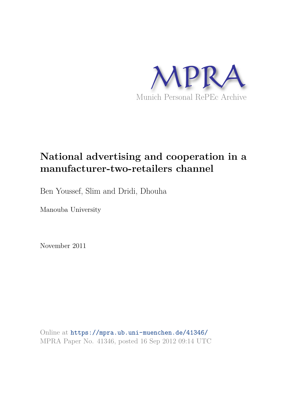

# **National advertising and cooperation in a manufacturer-two-retailers channel**

Ben Youssef, Slim and Dridi, Dhouha

Manouba University

November 2011

Online at https://mpra.ub.uni-muenchen.de/41346/ MPRA Paper No. 41346, posted 16 Sep 2012 09:14 UTC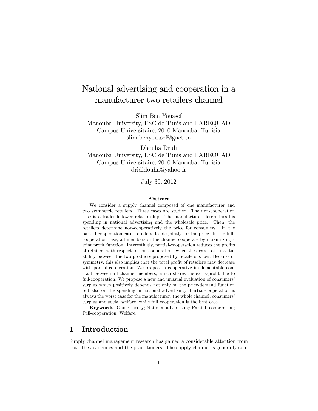## National advertising and cooperation in a manufacturer-two-retailers channel

Slim Ben Youssef

Manouba University, ESC de Tunis and LAREQUAD Campus Universitaire, 2010 Manouba, Tunisia slim.benyoussef@gnet.tn

Dhouha Dridi Manouba University, ESC de Tunis and LAREQUAD Campus Universitaire, 2010 Manouba, Tunisia drididouha@yahoo.fr

July 30, 2012

#### Abstract

We consider a supply channel composed of one manufacturer and two symmetric retailers. Three cases are studied. The non-cooperation case is a leader-follower relationship. The manufacturer determines his spending in national advertising and the wholesale price. Then, the retailers determine non-cooperatively the price for consumers. In the partial-cooperation case, retailers decide jointly for the price. In the fullcooperation case, all members of the channel cooperate by maximizing a joint profit function. Interestingly, partial-cooperation reduces the profits of retailers with respect to non-cooperation, when the degree of substituability between the two products proposed by retailers is low. Because of symmetry, this also implies that the total profit of retailers may decrease with partial-cooperation. We propose a cooperative implementable contract between all channel members, which shares the extra-profit due to full-cooperation. We propose a new and unusual evaluation of consumers' surplus which positively depends not only on the price-demand function but also on the spending in national advertising. Partial-cooperation is always the worst case for the manufacturer, the whole channel, consumers' surplus and social welfare, while full-cooperation is the best case.

Keywords: Game theory; National advertising; Partial- cooperation; Full-cooperation; Welfare.

## 1 Introduction

Supply channel management research has gained a considerable attention from both the academics and the practitioners. The supply channel is generally con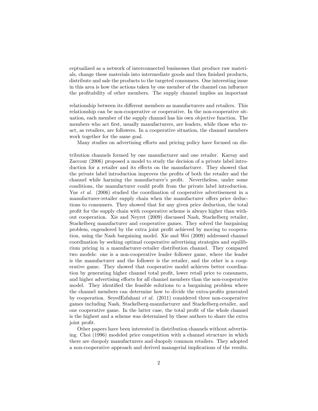ceptualized as a network of interconnected businesses that produce raw materials, change these materials into intermediate goods and then finished products, distribute and sale the products to the targeted consumers. One interesting issue in this area is how the actions taken by one member of the channel can influence the proÖtability of other members. The supply channel implies an important

relationship between its different members as manufacturers and retailers. This relationship can be non-cooperative or cooperative. In the non-cooperative situation, each member of the supply channel has his own objective function. The members who act first, usually manufacturers, are leaders, while those who react, as retailers, are followers. In a cooperative situation, the channel members work together for the same goal.

Many studies on advertising efforts and pricing policy have focused on dis-

tribution channels formed by one manufacturer and one retailer. Karray and Zaccour (2006) proposed a model to study the decision of a private label introduction for a retailer and its effects on the manufacturer. They showed that the private label introduction improves the profits of both the retailer and the channel while harming the manufacturer's profit. Nevertheless, under some conditions, the manufacturer could profit from the private label introduction. Yue *et al.* (2006) studied the coordination of cooperative advertisement in a manufacturer-retailer supply chain when the manufacturer offers price deductions to consumers. They showed that for any given price deduction, the total proÖt for the supply chain with cooperative scheme is always higher than without cooperation. Xie and Neyret (2009) discussed Nash, Stackelberg retailer, Stackelberg manufacturer and cooperative games. They solved the bargaining problem, engendered by the extra joint profit achieved by moving to cooperation, using the Nash bargaining model. Xie and Wei (2009) addressed channel coordination by seeking optimal cooperative advertising strategies and equilibrium pricing in a manufacturer-retailer distribution channel. They compared two models: one is a non-cooperative leader-follower game, where the leader is the manufacturer and the follower is the retailer, and the other is a cooperative game. They showed that cooperative model achieves better coordination by generating higher channel total profit, lower retail price to consumers, and higher advertising efforts for all channel members than the non-cooperative model. They identified the feasible solutions to a bargaining problem where the channel members can determine how to divide the extra-profits generated by cooperation. SeyedEsfahani et al. (2011) considered three non-cooperative games including Nash, Stackelberg-manufacturer and Stackelberg-retailer, and one cooperative game. In the latter case, the total profit of the whole channel is the highest and a scheme was determined by these authors to share the extra joint profit.

Other papers have been interested in distribution channels without advertising. Choi (1996) modeled price competition with a channel structure in which there are duopoly manufacturers and duopoly common retailers. They adopted a non-cooperative approach and derived managerial implications of the results.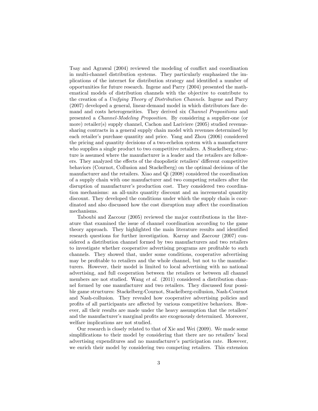Tsay and Agrawal (2004) reviewed the modeling of conflict and coordination in multi-channel distribution systems. They particularly emphasized the implications of the internet for distribution strategy and identified a number of opportunities for future research. Ingene and Parry (2004) presented the mathematical models of distribution channels with the objective to contribute to the creation of a Unifying Theory of Distribution Channels. Ingene and Parry (2007) developed a general, linear-demand model in which distributors face demand and costs heterogeneities. They derived six Channel Propositions and presented a Channel-Modeling Proposition. By considering a supplier-one (or more) retailer(s) supply channel, Cachon and Lariviere (2005) studied revenuesharing contracts in a general supply chain model with revenues determined by each retailer's purchase quantity and price. Yang and Zhou (2006) considered the pricing and quantity decisions of a two-echelon system with a manufacturer who supplies a single product to two competitive retailers. A Stackelberg structure is assumed where the manufacturer is a leader and the retailers are followers. They analyzed the effects of the duopolistic retailers' different competitive behaviors (Cournot, Collusion and Stackelberg) on the optimal decisions of the manufacturer and the retailers. Xiao and Qi (2008) considered the coordination of a supply chain with one manufacturer and two competing retailers after the disruption of manufacturer's production cost. They considered two coordination mechanisms: an all-units quantity discount and an incremental quantity discount. They developed the conditions under which the supply chain is coordinated and also discussed how the cost disruption may affect the coordination mechanisms.

Taboubi and Zaccour (2005) reviewed the major contributions in the literature that examined the issue of channel coordination according to the game theory approach. They highlighted the main literature results and identified research questions for further investigation. Karray and Zaccour (2007) considered a distribution channel formed by two manufacturers and two retailers to investigate whether cooperative advertising programs are profitable to such channels. They showed that, under some conditions, cooperative advertising may be profitable to retailers and the whole channel, but not to the manufacturers. However, their model is limited to local advertising with no national advertising, and full cooperation between the retailers or between all channel members are not studied. Wang *et al.* (2011) considered a distribution channel formed by one manufacturer and two retailers. They discussed four possible game structures: Stackelberg-Cournot, Stackelberg-collusion, Nash-Cournot and Nash-collusion. They revealed how cooperative advertising policies and profits of all participants are affected by various competitive behaviors. However, all their results are made under the heavy assumption that the retailers' and the manufacturer's marginal profits are exogenously determined. Moreover, welfare implications are not studied.

Our research is closely related to that of Xie and Wei (2009). We made some simplifications to their model by considering that there are no retailers' local advertising expenditures and no manufacturer's participation rate. However, we enrich their model by considering two competing retailers. This extension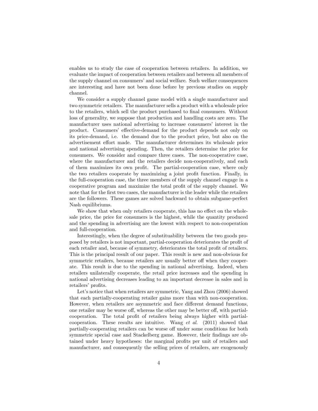enables us to study the case of cooperation between retailers. In addition, we evaluate the impact of cooperation between retailers and between all members of the supply channel on consumersí and social welfare. Such welfare consequences are interesting and have not been done before by previous studies on supply channel.

We consider a supply channel game model with a single manufacturer and two symmetric retailers. The manufacturer sells a product with a wholesale price to the retailers, which sell the product purchased to final consumers. Without loss of generality, we suppose that production and handling costs are zero. The manufacturer uses national advertising to increase consumers' interest in the product. Consumers' effective-demand for the product depends not only on its price-demand, i.e. the demand due to the product price, but also on the advertisement effort made. The manufacturer determines its wholesale price and national advertising spending. Then, the retailers determine the price for consumers. We consider and compare three cases. The non-cooperative case, where the manufacturer and the retailers decide non-cooperatively, and each of them maximizes its own profit. The partial-cooperation case, where only the two retailers cooperate by maximizing a joint profit function. Finally, in the full-cooperation case, the three members of the supply channel engage in a cooperative program and maximize the total profit of the supply channel. We note that for the first two cases, the manufacturer is the leader while the retailers are the followers. These games are solved backward to obtain subgame-perfect Nash equilibriums.

We show that when only retailers cooperate, this has no effect on the wholesale price, the price for consumers is the highest, while the quantity produced and the spending in advertising are the lowest with respect to non-cooperation and full-cooperation.

Interestingly, when the degree of substituability between the two goods proposed by retailers is not important, partial-cooperation deteriorates the profit of each retailer and, because of symmetry, deteriorates the total profit of retailers. This is the principal result of our paper. This result is new and non-obvious for symmetric retailers, because retailers are usually better off when they cooperate. This result is due to the spending in national advertising. Indeed, when retailers unilaterally cooperate, the retail price increases and the spending in national advertising decreases leading to an important decrease in sales and in retailers' profits.

Let's notice that when retailers are symmetric, Yang and Zhou (2006) showed that each partially-cooperating retailer gains more than with non-cooperation. However, when retailers are asymmetric and face different demand functions, one retailer may be worse off, whereas the other may be better off, with partialcooperation. The total profit of retailers being always higher with partialcooperation. These results are intuitive. Wang  $et \ al.$  (2011) showed that partially-cooperating retailers can be worse off under some conditions for both symmetric special case and Stackelberg game. However, their findings are obtained under heavy hypotheses: the marginal profits per unit of retailers and manufacturer, and consequently the selling prices of retailers, are exogenously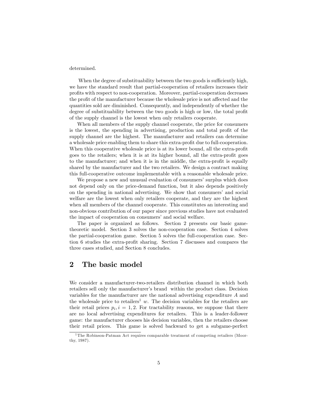#### determined.

When the degree of substituability between the two goods is sufficiently high, we have the standard result that partial-cooperation of retailers increases their proÖts with respect to non-cooperation. Moreover, partial-cooperation decreases the profit of the manufacturer because the wholesale price is not affected and the quantities sold are diminished. Consequently, and independently of whether the degree of substituability between the two goods is high or low, the total profit of the supply channel is the lowest when only retailers cooperate.

When all members of the supply channel cooperate, the price for consumers is the lowest, the spending in advertising, production and total profit of the supply channel are the highest. The manufacturer and retailers can determine a wholesale price enabling them to share this extra-profit due to full-cooperation. When this cooperative wholesale price is at its lower bound, all the extra-profit goes to the retailers; when it is at its higher bound, all the extra-profit goes to the manufacturer; and when it is in the middle, the extra-profit is equally shared by the manufacturer and the two retailers. We design a contract making this full-cooperative outcome implementable with a reasonable wholesale price.

We propose a new and unusual evaluation of consumers' surplus which does not depend only on the price-demand function, but it also depends positively on the spending in national advertising. We show that consumersí and social welfare are the lowest when only retailers cooperate, and they are the highest when all members of the channel cooperate. This constitutes an interesting and non-obvious contribution of our paper since previous studies have not evaluated the impact of cooperation on consumers' and social welfare.

The paper is organized as follows. Section 2 presents our basic gametheoretic model. Section 3 solves the non-cooperation case. Section 4 solves the partial-cooperation game. Section 5 solves the full-cooperation case. Section 6 studies the extra-profit sharing. Section 7 discusses and compares the three cases studied, and Section 8 concludes.

#### 2 The basic model

We consider a manufacturer-two-retailers distribution channel in which both retailers sell only the manufacturer's brand within the product class. Decision variables for the manufacturer are the national advertising expenditure A and the wholesale price to retailers<sup>1</sup> w. The decision variables for the retailers are their retail prices  $p_i, i = 1, 2$ . For tractability reasons, we suppose that there are no local advertising expenditures for retailers. This is a leader-follower game: the manufacturer chooses his decision variables, then the retailers choose their retail prices. This game is solved backward to get a subgame-perfect

<sup>&</sup>lt;sup>1</sup>The Robinson-Patman Act requires comparable treatment of competing retailers (Moorthy, 1987).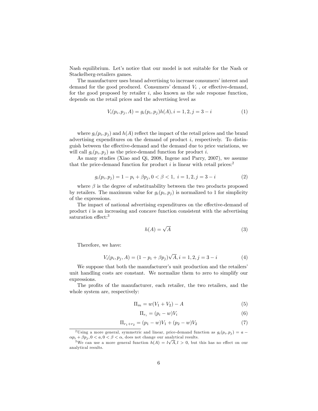Nash equilibrium. Let's notice that our model is not suitable for the Nash or Stackelberg-retailers games.

The manufacturer uses brand advertising to increase consumers' interest and demand for the good produced. Consumers' demand  $V_i$ , or effective-demand, for the good proposed by retailer  $i$ , also known as the sale response function, depends on the retail prices and the advertising level as

$$
V_i(p_i, p_j, A) = g_i(p_i, p_j)h(A), i = 1, 2, j = 3 - i
$$
\n(1)

where  $g_i(p_i, p_j)$  and  $h(A)$  reflect the impact of the retail prices and the brand advertising expenditures on the demand of product  $i$ , respectively. To distinguish between the effective-demand and the demand due to price variations, we will call  $g_i(p_i, p_j)$  as the price-demand function for product i.

As many studies (Xiao and Qi, 2008, Ingene and Parry, 2007), we assume that the price-demand function for product i is linear with retail prices:<sup>2</sup>

$$
g_i(p_i, p_j) = 1 - p_i + \beta p_j, 0 < \beta < 1, \ i = 1, 2, j = 3 - i \tag{2}
$$

where  $\beta$  is the degree of substituability between the two products proposed by retailers. The maximum value for  $g_i(p_i, p_j)$  is normalized to 1 for simplicity of the expressions.

The impact of national advertising expenditures on the effective-demand of product  $i$  is an increasing and concave function consistent with the advertising saturation effect:<sup>3</sup>

$$
h(A) = \sqrt{A} \tag{3}
$$

Therefore, we have:

$$
V_i(p_i, p_j, A) = (1 - p_i + \beta p_j) \sqrt{A}, i = 1, 2, j = 3 - i \tag{4}
$$

We suppose that both the manufacturer's unit production and the retailers' unit handling costs are constant. We normalize them to zero to simplify our expressions.

The profits of the manufacturer, each retailer, the two retailers, and the whole system are, respectively:

$$
\Pi_m = w(V_1 + V_2) - A \tag{5}
$$

$$
\Pi_{r_i} = (p_i - w)V_i \tag{6}
$$

$$
\Pi_{r_1+r_2} = (p_1-w)V_1 + (p_2-w)V_2 \tag{7}
$$

<sup>&</sup>lt;sup>2</sup>Using a more general, symmetric and linear, price-demand function as  $g_i(p_i, p_j) = a \alpha p_i + \beta p_j, 0 < a, 0 < \beta < \alpha$ , does not change our analytical results.

<sup>&</sup>lt;sup>3</sup>We can use a more general function  $h(A) = l\sqrt{A}, l > 0$ , but this has no effect on our analytical results.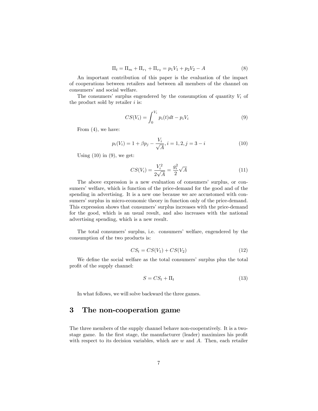$$
\Pi_t = \Pi_m + \Pi_{r_1} + \Pi_{r_2} = p_1 V_1 + p_2 V_2 - A \tag{8}
$$

An important contribution of this paper is the evaluation of the impact of cooperations between retailers and between all members of the channel on consumers' and social welfare.

The consumers' surplus engendered by the consumption of quantity  $V_i$  of the product sold by retailer  $i$  is:

$$
CS(V_i) = \int_0^{V_i} p_i(t)dt - p_i V_i
$$
\n(9)

From (4), we have:

$$
p_i(V_i) = 1 + \beta p_j - \frac{V_i}{\sqrt{A}}, i = 1, 2, j = 3 - i
$$
\n(10)

Using  $(10)$  in  $(9)$ , we get:

$$
CS(V_i) = \frac{V_i^2}{2\sqrt{A}} = \frac{g_i^2}{2}\sqrt{A}
$$
\n(11)

The above expression is a new evaluation of consumers' surplus, or consumers' welfare, which is function of the price-demand for the good and of the spending in advertising. It is a new one because we are accustomed with consumers' surplus in micro-economic theory in function only of the price-demand. This expression shows that consumers' surplus increases with the price-demand for the good, which is an usual result, and also increases with the national advertising spending, which is a new result.

The total consumersí surplus, i.e. consumersí welfare, engendered by the consumption of the two products is:

$$
CS_t = CS(V_1) + CS(V_2)
$$
\n
$$
(12)
$$

We define the social welfare as the total consumers' surplus plus the total profit of the supply channel:

$$
S = CS_t + \Pi_t \tag{13}
$$

In what follows, we will solve backward the three games.

#### 3 The non-cooperation game

The three members of the supply channel behave non-cooperatively. It is a twostage game. In the first stage, the manufacturer (leader) maximizes his profit with respect to its decision variables, which are  $w$  and  $A$ . Then, each retailer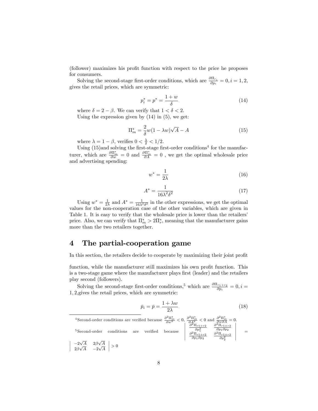(follower) maximizes his profit function with respect to the price he proposes for consumers.

Solving the second-stage first-order conditions, which are  $\frac{\partial \Pi_{r_i}}{\partial p_i} = 0, i = 1, 2,$ gives the retail prices, which are symmetric:

$$
p_i^* = p^* = \frac{1+w}{\delta} \tag{14}
$$

where  $\delta = 2 - \beta$ . We can verify that  $1 < \delta < 2$ . Using the expression given by  $(14)$  in  $(5)$ , we get:

$$
\Pi_m^* = \frac{2}{\delta} w(1 - \lambda w) \sqrt{A} - A \tag{15}
$$

where  $\lambda = 1 - \beta$ , verifies  $0 < \frac{\lambda}{\delta} < 1/2$ .

Using  $(15)$  and solving the first-stage first-order conditions<sup>4</sup> for the manufacturer, which are  $\frac{\partial \Pi_m^*}{\partial w} = 0$  and  $\frac{\partial \Pi_m^*}{\partial A} = 0$ , we get the optimal wholesale price and advertising spending:

$$
w^* = \frac{1}{2\lambda} \tag{16}
$$

$$
A^* = \frac{1}{16\lambda^2 \delta^2} \tag{17}
$$

Using  $w^* = \frac{1}{2\lambda}$  and  $A^* = \frac{1}{16\lambda^2 \delta^2}$  in the other expressions, we get the optimal values for the non-cooperation case of the other variables, which are given in Table 1. It is easy to verify that the wholesale price is lower than the retailers' price. Also, we can verify that  $\Pi_m^* > 2\Pi_r^*$ , meaning that the manufacturer gains more than the two retailers together.

#### 4 The partial-cooperation game

In this section, the retailers decide to cooperate by maximizing their joint profit

function, while the manufacturer still maximizes his own profit function. This is a two-stage game where the manufacturer plays first (leader) and the retailers play second (followers).

Solving the second-stage first-order conditions,<sup>5</sup> which are  $\frac{\partial \Pi_{r_1+r_2}}{\partial p_i} = 0, i =$ 1; 2;gives the retail prices, which are symmetric:

$$
\bar{p}_i = \bar{p} = \frac{1 + \lambda w}{2\lambda} \tag{18}
$$

<sup>4</sup> Second-order conditions are verified because  $\frac{\partial^2 \Pi_m^*}{\partial w^2} < 0$ ,  $\frac{\partial^2 \Pi_m^*}{\partial A^2} < 0$  and  $\frac{\partial^2 \Pi_m^*}{\partial w \partial A} = 0$ . <sup>5</sup> Second-order conditions are verified because  $\frac{\partial^2 \Pi_{r1+r2}}{\partial p_1^2}$  $\begin{array}{cc} \frac{\partial^2\Pi_{r1+r2}}{\partial p_1^2} & \frac{\partial^2\Pi_{r1+r2}}{\partial p_1\partial p_2} \ \frac{\partial^2\Pi_{r1+r2}}{\partial p_1\partial p_2} & \frac{\partial^2\Pi_{r1+r2}}{\partial p_2^2} \end{array}$ econd-order conditions are verified because  $\begin{vmatrix} \frac{\partial^2 \Pi_{r1+r2}}{\partial p_1^2} & \frac{\partial^2 \Pi_{r1+r2}}{\partial p_2^2} \\ \frac{\partial^2 \Pi_{r1+r2}}{\partial p_1 \partial p_2} & \frac{\partial^2 \Pi_{r1+r2}}{\partial p_2^2} \end{vmatrix}$ =  $-2\sqrt{A}$   $2\beta\sqrt{A}$  $> 0$ 

 $\begin{array}{c} \hline \end{array}$  $2\beta\sqrt{A}$   $-2\sqrt{A}$  $\begin{array}{c} \hline \end{array}$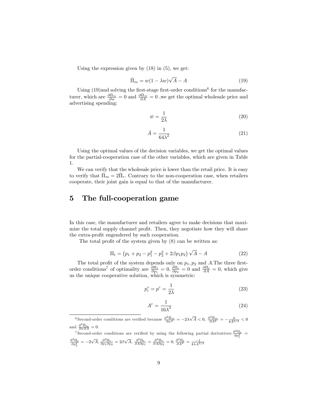Using the expression given by  $(18)$  in  $(5)$ , we get:

$$
\bar{\Pi}_m = w(1 - \lambda w)\sqrt{A} - A \tag{19}
$$

Using  $(19)$  and solving the first-stage first-order conditions<sup>6</sup> for the manufacturer, which are  $\frac{\partial \bar{\Pi}_m}{\partial w} = 0$  and  $\frac{\partial \bar{\Pi}_m}{\partial A} = 0$ , we get the optimal wholesale price and advertising spending:

$$
\bar{w} = \frac{1}{2\lambda} \tag{20}
$$

$$
\bar{A} = \frac{1}{64\lambda^2} \tag{21}
$$

Using the optimal values of the decision variables, we get the optimal values for the partial-cooperation case of the other variables, which are given in Table 1.

We can verify that the wholesale price is lower than the retail price. It is easy to verify that  $\bar{\Pi}_m = 2\bar{\Pi}_r$ . Contrary to the non-cooperation case, when retailers cooperate, their joint gain is equal to that of the manufacturer.

### 5 The full-cooperation game

In this case, the manufacturer and retailers agree to make decisions that maximize the total supply channel profit. Then, they negotiate how they will share the extra-profit engendered by such cooperation.

The total profit of the system given by  $(8)$  can be written as:

$$
\Pi_t = (p_1 + p_2 - p_1^2 - p_2^2 + 2\beta p_1 p_2) \sqrt{A} - A \tag{22}
$$

The total profit of the system depends only on  $p_1, p_2$  and A. The three firstorder conditions<sup>7</sup> of optimality are  $\frac{\partial \Pi_t}{\partial p_1} = 0$ ,  $\frac{\partial \Pi_t}{\partial p_2} = 0$  and  $\frac{\partial \Pi_t}{\partial A} = 0$ , which give us the unique cooperative solution, which is symmetric:

$$
p_i^c = p^c = \frac{1}{2\lambda} \tag{23}
$$

$$
A^c = \frac{1}{16\lambda^2} \tag{24}
$$

<sup>6</sup> Second-order conditions are verified because  $\frac{\partial^2 \bar{\Pi}_m}{\partial w^2} = -2\lambda \sqrt{\bar{A}} < 0$ ,  $\frac{\partial^2 \bar{\Pi}_m}{\partial A^2} = -\frac{\bar{w}}{8\bar{A}^{3/2}} < 0$ and  $\frac{\partial^2 \bar{\Pi}_m}{\partial w \partial A} = 0.$ 

<sup>7</sup> Second-order conditions are verified by using the following partial derivatives:  $\frac{\partial^2 \Pi_t}{\partial p_1^2}$  =  $\frac{\partial^2 \Pi_t}{\partial p_2^2} = -2\sqrt{A}, \frac{\partial^2 \Pi_t}{\partial p_1 \partial p_2} = 2\beta\sqrt{A}, \frac{\partial^2 \Pi_t}{\partial A \partial p_1} = \frac{\partial^2 \Pi_t}{\partial A \partial p_2} = 0, \frac{\partial^2 \Pi_t}{\partial A^2} = \frac{-1}{8\lambda A^{3/2}}$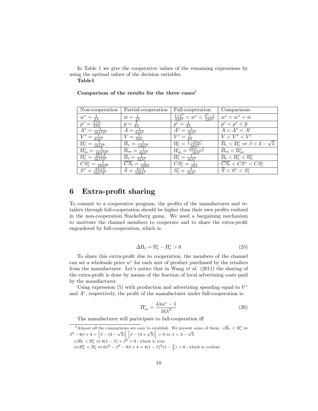In Table 1 we give the cooperative values of the remaining expressions by using the optimal values of the decision variables. Table1

| Non-cooperation                                       | Partial-cooperation                   | Full-cooperation                                                                        | Comparisons                                                  |
|-------------------------------------------------------|---------------------------------------|-----------------------------------------------------------------------------------------|--------------------------------------------------------------|
| $w^*$                                                 | $\bar{w} =$                           | $\frac{1+\delta^2}{4\lambda\delta^2} < w^c < \frac{\delta^3-\lambda}{2\lambda\delta^3}$ | $w^c < w^* = \bar{w}$                                        |
|                                                       | $\bar{p} =$                           |                                                                                         | $p^c < p^* < \overline{p}$                                   |
| $A^*$<br>$\sqrt{16\lambda^2\delta^2}$                 | $A =$<br>$\overline{64\lambda^2}$     | $A^c$<br>$6\lambda^2$                                                                   | $\overline{A} < A^* < A^c$                                   |
| $8\lambda\delta^2$                                    | $32\lambda$                           | $V^c$                                                                                   | $V < V^* < V^c$                                              |
| $\Pi_r^* =$<br>$\overline{16\lambda\delta^3}$         | $\overline{128\lambda^2}$             | $-2\lambda w^c$<br>$\Pi^c_r =$<br>$16\lambda^2$                                         | $\bar{\Pi}_r < \Pi_r^* \Leftrightarrow \beta < 3 - \sqrt{5}$ |
| $\Pi_m^*$<br>$\sqrt{16\lambda^2\delta^2}$             | $\prod_m$<br>$\overline{64\lambda^2}$ | $\frac{4\lambda w^{c}-1}{2}$<br>$\Pi^c_m$<br>$16\lambda^2$                              | $\Pi_m < \Pi_m^*$                                            |
| $\Pi^*_t$<br>$=$<br>$6\lambda^2\delta^3$              | $\Pi_t$<br>$=$<br>$32\lambda^2$       | $\Pi_t^c =$<br>$\overline{16\lambda^2}$                                                 | $\Pi_t < \Pi_t^* < \Pi_t^c$                                  |
| $CS^*_t$<br>$16\lambda\delta^3$                       | $128\lambda$                          | $16\lambda$                                                                             | $\overline{CS_t} < CS^* < CS^c$                              |
| $S^*$<br>$\frac{3\lambda+\delta}{6\lambda^2\delta^3}$ |                                       | $\overline{16\lambda^2}$                                                                | $\overline{S} < S^* < S_t^c$                                 |

#### Comparison of the results for the three cases $\delta$

## 6 Extra-profit sharing

To commit to a cooperative program, the profits of the manufacturer and retailers through full-cooperation should be higher than their own profits realized in the non-cooperation Stackelberg game. We need a bargaining mechanism to motivate the channel members to cooperate and to share the extra-profit engendered by full-cooperation, which is:

$$
\Delta \Pi_t = \Pi_t^c - \Pi_t^* > 0 \tag{25}
$$

To share this extra-profit due to cooperation, the members of the channel can set a wholesale price  $w^c$  for each unit of product purchased by the retailers from the manufacturer. Let's notice that in Wang  $et$  al. (2011) the sharing of the extra-profit is done by means of the fraction of local advertising costs paid by the manufacturer.

Using expression  $(5)$  with production and advertising spending equal to  $V<sup>c</sup>$ and  $A<sup>c</sup>$ , respectively, the profit of the manufacturer under full-cooperation is:

$$
\Pi_m^c = \frac{4\lambda w^c - 1}{16\lambda^2} \tag{26}
$$

The manufacturer will participate to full-cooperation iff

<sup>8</sup>Almost all the comparisons are easy to establish. We present some of them:  $i$ ,  $\bar{\Pi}_r \leq \Pi_r^* \Leftrightarrow$  $\beta^2 - 6\beta + 4 = \left[\beta - (3 - \sqrt{5})\right] \left[\beta - (3 + \sqrt{5})\right] > 0 \Leftrightarrow \beta < 3 - \sqrt{5}.$  $ii)$  $\bar{\Pi}_t < \Pi_t^* \Leftrightarrow 6(1-\beta) + \beta^2 > 0$ : which is true.  $iii) \Pi_t^* < \Pi_t^c \Leftrightarrow 6\beta^2 - \beta^3 - 9\beta + 4 = 4(1 - \beta)^2(1 - \frac{\beta}{4}) > 0$ : which is evident.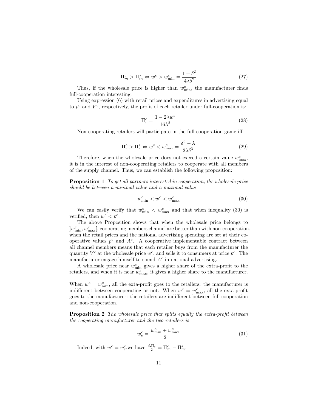$$
\Pi_m^c > \Pi_m^* \Leftrightarrow w^c > w_{\min}^c = \frac{1 + \delta^2}{4\lambda \delta^2} \tag{27}
$$

Thus, if the wholesale price is higher than  $w_{\min}^c$ , the manufacturer finds full-cooperation interesting.

Using expression (6) with retail prices and expenditures in advertising equal to  $p^c$  and  $V^c$ , respectively, the profit of each retailer under full-cooperation is:

$$
\Pi_r^c = \frac{1 - 2\lambda w^c}{16\lambda^2} \tag{28}
$$

Non-cooperating retailers will participate in the full-cooperation game iff

$$
\Pi_r^c > \Pi_r^* \Leftrightarrow w^c < w_{\text{max}}^c = \frac{\delta^3 - \lambda}{2\lambda\delta^3} \tag{29}
$$

Therefore, when the wholesale price does not exceed a certain value  $w_{\text{max}}^c$ , it is in the interest of non-cooperating retailers to cooperate with all members of the supply channel. Thus, we can establish the following proposition:

Proposition 1 To get all partners interested in cooperation, the wholesale price should be between a minimal value and a maximal value

$$
w_{\min}^c < w^c < w_{\max}^c \tag{30}
$$

We can easily verify that  $w_{\min}^c < w_{\max}^c$  and that when inequality (30) is verified, then  $w^c < p^c$ .

The above Proposition shows that when the wholesale price belongs to  $[w_{\min}^c, w_{\max}^c]$ , cooperating members channel are better than with non-cooperation, when the retail prices and the national advertising spending are set at their cooperative values  $p^c$  and  $A^c$ . A cooperative implementable contract between all channel members means that each retailer buys from the manufacturer the quantity  $V^c$  at the wholesale price  $w^c$ , and sells it to consumers at price  $p^c$ . The manufacturer engage himself to spend  $A<sup>c</sup>$  in national advertising.

A wholesale price near  $w_{\min}^c$  gives a higher share of the extra-profit to the retailers, and when it is near  $w_{\text{max}}^c$ , it gives a higher share to the manufacturer.

When  $w^c = w^c_{\min}$ , all the exta-profit goes to the retailers: the manufacturer is indifferent between cooperating or not. When  $w^c = w^c_{\text{max}}$ , all the exta-profit goes to the manufacturer: the retailers are indifferent between full-cooperation and non-cooperation.

**Proposition 2** The wholesale price that splits equally the extra-profit between the cooperating manufacturer and the two retailers is

$$
w_e^c = \frac{w_{\text{min}}^c + w_{\text{max}}^c}{2} \tag{31}
$$

Indeed, with  $w^c = w_e^c$ , we have  $\frac{\Delta \Pi_t}{2} = \Pi_m^c - \Pi_m^*$ .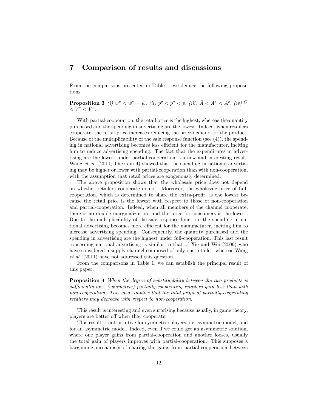#### 7 Comparison of results and discussions

From the comparisons presented in Table 1, we deduce the following propositions.

**Proposition 3** (i)  $w^c < w^* = \bar{w}$ , (ii)  $p^c < p^* < \bar{p}$ , (iii)  $\bar{A} < A^* < A^c$ , (iv)  $\bar{V}$  $\langle V^* \times V^c \rangle$ 

With partial-cooperation, the retail price is the highest, whereas the quantity purchased and the spending in advertising are the lowest. Indeed, when retailers cooperate, the retail price increases reducing the price-demand for the product. Because of the multiplicability of the sale response function (see (4)), the spending in national advertising becomes less efficient for the manufacturer, inciting him to reduce advertising spending. The fact that the expenditures in advertising are the lowest under partial-cooperation is a new and interesting result. Wang et al. (2011, Theorem 4) showed that the spending in national advertising may be higher or lower with partial-cooperation than with non-cooperation, with the assumption that retail prices are exogenously determined.

The above proposition shows that the wholesale price does not depend on whether retailers cooperate or not. Moreover, the wholesale price of fullcooperation, which is determined to share the extra-profit, is the lowest because the retail price is the lowest with respect to those of non-cooperation and partial-cooperation. Indeed, when all members of the channel cooperate, there is no double marginalization, and the price for consumers is the lowest. Due to the multiplicability of the sale response function, the spending in national advertising becomes more efficient for the manufacturer, inciting him to increase advertising spending. Consequently, the quantity purchased and the spending in advertising are the highest under full-cooperation. This last result concerning national advertising is similar to that of Xie and Wei (2009) who have considered a supply channel composed of only one retailer, whereas Wang et al. (2011) have not addressed this question.

From the comparisons in Table 1, we can establish the principal result of this paper:

**Proposition 4** When the degree of substituability between the two products is sufficiently low, (symmetric) partially-cooperating retailers gain less than with non-cooperation. This also implies that the total profit of partially-cooperating retailers may decrease with respect to non-cooperation.

This result is interesting and even surprising because usually, in game theory, players are better off when they cooperate.

This result is not intuitive for symmetric players, i.e. symmetric model, and for an asymmetric model. Indeed, even if we could get an asymmetric solution, where one player gains from partial-cooperation and another looses, usually the total gain of players improves with partial-cooperation. This supposes a bargaining mechanism of sharing the gains from partial-cooperation between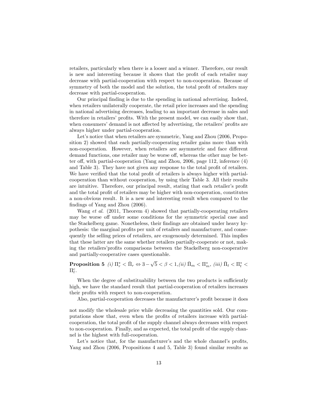retailers, particularly when there is a looser and a winner. Therefore, our result is new and interesting because it shows that the profit of each retailer may decrease with partial-cooperation with respect to non-cooperation. Because of symmetry of both the model and the solution, the total profit of retailers may decrease with partial-cooperation.

Our principal finding is due to the spending in national advertising. Indeed, when retailers unilaterally cooperate, the retail price increases and the spending in national advertising decreases, leading to an important decrease in sales and therefore in retailers' profits. With the present model, we can easily show that, when consumers' demand is not affected by advertising, the retailers' profits are always higher under partial-cooperation.

Let's notice that when retailers are symmetric, Yang and Zhou (2006, Proposition 2) showed that each partially-cooperating retailer gains more than with non-cooperation. However, when retailers are asymmetric and face different demand functions, one retailer may be worse off, whereas the other may be better off, with partial-cooperation (Yang and Zhou, 2006, page 112, inference  $(4)$ ) and Table 3). They have not given any response to the total profit of retailers. We have verified that the total profit of retailers is always higher with partialcooperation than without cooperation, by using their Table 3. All their results are intuitive. Therefore, our principal result, stating that each retailer's profit and the total profit of retailers may be higher with non-cooperation, constitutes a non-obvious result. It is a new and interesting result when compared to the findings of Yang and Zhou (2006).

Wang et al. (2011, Theorem 4) showed that partially-cooperating retailers may be worse off under some conditions for the symmetric special case and the Stackelberg game. Nonetheless, their findings are obtained under heavy hypothesis: the marginal profits per unit of retailers and manufacturer, and consequently the selling prices of retailers, are exogenously determined. This implies that these latter are the same whether retailers partially-cooperate or not, making the retailers' profits comparisons between the Stackelberg non-cooperative and partially-cooperative cases questionable.

Proposition 5 (i)  $\Pi_r^* < \bar{\Pi}_r \Leftrightarrow 3-\sqrt{5} < \beta < 1,$  (ii)  $\bar{\Pi}_m < \Pi_m^*$ , (iii)  $\bar{\Pi}_t < \Pi_t^* <$  $\Pi_t^c$ .

When the degree of substituability between the two products is sufficiently high, we have the standard result that partial-cooperation of retailers increases their profits with respect to non-cooperation.

Also, partial-cooperation decreases the manufacturer's profit because it does

not modify the wholesale price while decreasing the quantities sold. Our computations show that, even when the profits of retailers increase with partialcooperation, the total profit of the supply channel always decreases with respect to non-cooperation. Finally, and as expected, the total profit of the supply channel is the highest with full-cooperation.

Let's notice that, for the manufacturer's and the whole channel's profits, Yang and Zhou (2006, Propositions 4 and 5, Table 3) found similar results as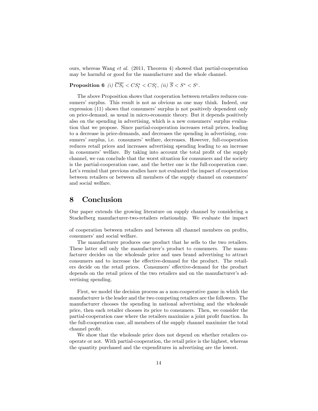ours, whereas Wang et al. (2011, Theorem 4) showed that partial-cooperation may be harmful or good for the manufacturer and the whole channel.

Proposition 6 (i)  $\overline{CS_t} < CS_t^* < CS_t^c$ , (ii)  $\overline{S} < S^* < S^c$ .

The above Proposition shows that cooperation between retailers reduces consumers' surplus. This result is not as obvious as one may think. Indeed, our expression (11) shows that consumers' surplus is not positively dependent only on price-demand, as usual in micro-economic theory. But it depends positively also on the spending in advertising, which is a new consumers' surplus evaluation that we propose. Since partial-cooperation increases retail prices, leading to a decrease in price-demands, and decreases the spending in advertising, consumers' surplus, i.e. consumers' welfare, decreases. However, full-cooperation reduces retail prices and increases advertising spending leading to an increase in consumers' welfare. By taking into account the total profit of the supply channel, we can conclude that the worst situation for consumers and the society is the partial-cooperation case, and the better one is the full-cooperation case. Let's remind that previous studies have not evaluated the impact of cooperation between retailers or between all members of the supply channel on consumers' and social welfare.

#### 8 Conclusion

Our paper extends the growing literature on supply channel by considering a Stackelberg manufacturer-two-retailers relationship. We evaluate the impact

of cooperation between retailers and between all channel members on profits, consumers' and social welfare.

The manufacturer produces one product that he sells to the two retailers. These latter sell only the manufacturer's product to consumers. The manufacturer decides on the wholesale price and uses brand advertising to attract consumers and to increase the effective-demand for the product. The retailers decide on the retail prices. Consumers' effective-demand for the product depends on the retail prices of the two retailers and on the manufacturer's advertising spending.

First, we model the decision process as a non-cooperative game in which the manufacturer is the leader and the two competing retailers are the followers. The manufacturer chooses the spending in national advertising and the wholesale price, then each retailer chooses its price to consumers. Then, we consider the partial-cooperation case where the retailers maximize a joint profit function. In the full-cooperation case, all members of the supply channel maximize the total channel profit.

We show that the wholesale price does not depend on whether retailers cooperate or not. With partial-cooperation, the retail price is the highest, whereas the quantity purchased and the expenditures in advertising are the lowest.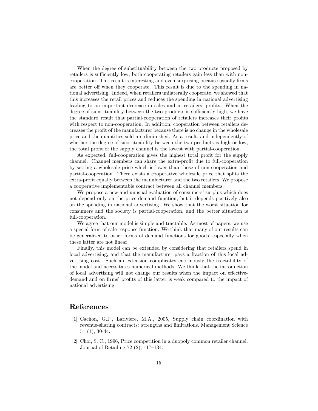When the degree of substituability between the two products proposed by retailers is sufficiently low, both cooperating retailers gain less than with noncooperation. This result is interesting and even surprising because usually firms are better off when they cooperate. This result is due to the spending in national advertising. Indeed, when retailers unilaterally cooperate, we showed that this increases the retail prices and reduces the spending in national advertising leading to an important decrease in sales and in retailers' profits. When the degree of substituability between the two products is sufficiently high, we have the standard result that partial-cooperation of retailers increases their profits with respect to non-cooperation. In addition, cooperation between retailers decreases the profit of the manufacturer because there is no change in the wholesale price and the quantities sold are diminished. As a result, and independently of whether the degree of substituability between the two products is high or low, the total profit of the supply channel is the lowest with partial-cooperation.

As expected, full-cooperation gives the highest total profit for the supply channel. Channel members can share the extra-profit due to full-cooperation by setting a wholesale price which is lower than those of non-cooperation and partial-cooperation. There exists a cooperative wholesale price that splits the extra-profit equally between the manufacturer and the two retailers. We propose a cooperative implementable contract between all channel members.

We propose a new and unusual evaluation of consumers' surplus which does not depend only on the price-demand function, but it depends positively also on the spending in national advertising. We show that the worst situation for consumers and the society is partial-cooperation, and the better situation is full-cooperation.

We agree that our model is simple and tractable. As most of papers, we use a special form of sale response function. We think that many of our results can be generalized to other forms of demand functions for goods, especially when these latter are not linear.

Finally, this model can be extended by considering that retailers spend in local advertising, and that the manufacturer pays a fraction of this local advertising cost. Such an extension complicates enormously the tractability of the model and necessitates numerical methods. We think that the introduction of local advertising will not change our results when the impact on effectivedemand and on firms' profits of this latter is weak compared to the impact of national advertising.

#### References

- [1] Cachon, G.P., Lariviere, M.A., 2005, Supply chain coordination with revenue-sharing contracts: strengths and limitations. Management Science 51 (1), 30-44.
- [2] Choi, S. C., 1996, Price competition in a duopoly common retailer channel. Journal of Retailing  $72$   $(2)$ ,  $117-134$ .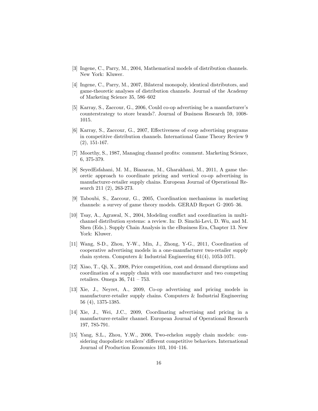- [3] Ingene, C., Parry, M., 2004, Mathematical models of distribution channels. New York: Kluwer.
- [4] Ingene, C., Parry, M., 2007, Bilateral monopoly, identical distributors, and game-theoretic analyses of distribution channels. Journal of the Academy of Marketing Science  $35, 586-602$
- [5] Karray, S., Zaccour, G., 2006, Could co-op advertising be a manufacturerís counterstrategy to store brands?. Journal of Business Research 59, 1008- 1015.
- [6] Karray, S., Zaccour, G., 2007, Effectiveness of coop advertising programs in competitive distribution channels. International Game Theory Review 9 (2), 151-167.
- [7] Moorthy, S., 1987, Managing channel profits: comment. Marketing Science, 6, 375-379.
- [8] SeyedEsfahani, M. M., Biazaran, M., Gharakhani, M., 2011, A game theoretic approach to coordinate pricing and vertical co-op advertising in manufacturer-retailer supply chains. European Journal of Operational Research 211 (2), 263-273.
- [9] Taboubi, S., Zaccour, G., 2005, Coordination mechanisms in marketing channels: a survey of game theory models. GERAD Report  $G=2005-36$ .
- [10] Tsay, A., Agrawal, N., 2004, Modeling conflict and coordination in multichannel distribution systems: a review. In: D. Simchi-Levi, D. Wu, and M. Shen (Eds.). Supply Chain Analysis in the eBusiness Era, Chapter 13. New York: Kluwer.
- [11] Wang, S-D., Zhou, Y-W., Min, J., Zhong, Y-G., 2011, Coordination of cooperative advertising models in a one-manufacturer two-retailer supply chain system. Computers & Industrial Engineering 61(4), 1053-1071.
- [12] Xiao, T., Qi, X., 2008, Price competition, cost and demand disruptions and coordination of a supply chain with one manufacturer and two competing retailers. Omega 36,  $741 - 753$ .
- [13] Xie, J., Neyret, A., 2009, Co-op advertising and pricing models in manufacturer-retailer supply chains. Computers & Industrial Engineering 56 (4), 1375-1385.
- [14] Xie, J., Wei, J.C., 2009, Coordinating advertising and pricing in a manufacturer-retailer channel. European Journal of Operational Research 197, 785-791.
- [15] Yang, S.L., Zhou, Y.W., 2006, Two-echelon supply chain models: considering duopolistic retailers' different competitive behaviors. International Journal of Production Economics 103, 104–116.